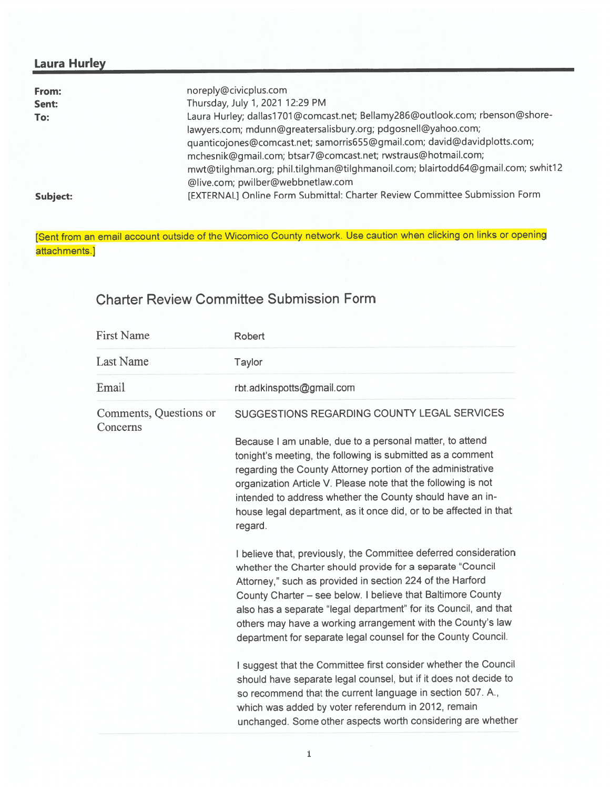## Laura Hurley

| From:    | noreply@civicplus.com                                                           |
|----------|---------------------------------------------------------------------------------|
| Sent:    | Thursday, July 1, 2021 12:29 PM                                                 |
| To:      | Laura Hurley; dallas1701@comcast.net; Bellamy286@outlook.com; rbenson@shore-    |
|          | lawyers.com; mdunn@greatersalisbury.org; pdgosnell@yahoo.com;                   |
|          | quanticojones@comcast.net; samorris655@gmail.com; david@davidplotts.com;        |
|          | mchesnik@gmail.com; btsar7@comcast.net; rwstraus@hotmail.com;                   |
|          | mwt@tilghman.org; phil.tilghman@tilghmanoil.com; blairtodd64@gmail.com; swhit12 |
|          | @live.com; pwilber@webbnetlaw.com                                               |
| Subject: | [EXTERNAL] Online Form Submittal: Charter Review Committee Submission Form      |

[Sent from an email account outside of the Wicomico County network. Use caution when clicking on links or opening attachments.]

## Charter Review Committee Submission Form

| <b>First Name</b>                  | <b>Robert</b>                                                                                                                                                                                                                                                                                                                                                                                                                                                  |
|------------------------------------|----------------------------------------------------------------------------------------------------------------------------------------------------------------------------------------------------------------------------------------------------------------------------------------------------------------------------------------------------------------------------------------------------------------------------------------------------------------|
| <b>Last Name</b>                   | Taylor                                                                                                                                                                                                                                                                                                                                                                                                                                                         |
| Email                              | rbt.adkinspotts@gmail.com                                                                                                                                                                                                                                                                                                                                                                                                                                      |
| Comments, Questions or<br>Concerns | SUGGESTIONS REGARDING COUNTY LEGAL SERVICES                                                                                                                                                                                                                                                                                                                                                                                                                    |
|                                    | Because I am unable, due to a personal matter, to attend<br>tonight's meeting, the following is submitted as a comment<br>regarding the County Attorney portion of the administrative<br>organization Article V. Please note that the following is not<br>intended to address whether the County should have an in-<br>house legal department, as it once did, or to be affected in that<br>regard.                                                            |
|                                    | I believe that, previously, the Committee deferred consideration<br>whether the Charter should provide for a separate "Council<br>Attorney," such as provided in section 224 of the Harford<br>County Charter - see below. I believe that Baltimore County<br>also has a separate "legal department" for its Council, and that<br>others may have a working arrangement with the County's law<br>department for separate legal counsel for the County Council. |
|                                    | I suggest that the Committee first consider whether the Council<br>should have separate legal counsel, but if it does not decide to<br>so recommend that the current language in section 507. A.,<br>which was added by voter referendum in 2012, remain<br>unchanged. Some other aspects worth considering are whether                                                                                                                                        |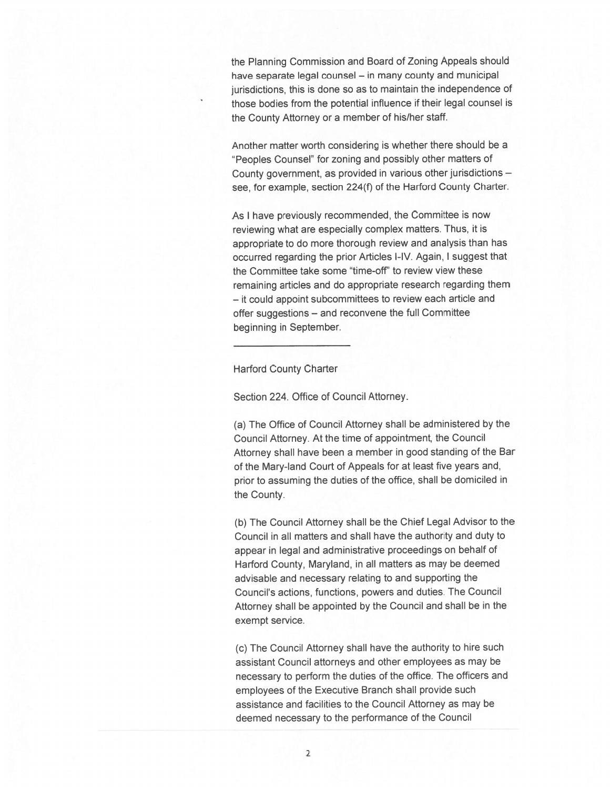the Planning Commission and Board of Zoning Appeals should have separate legal counsel — in many county and municipal jurisdictions, this is done so as to maintain the independence of those bodies from the potential influence if their legal counsel is the County Attorney or <sup>a</sup> member of his/her staff.

Another matter worth considering is whether there should be <sup>a</sup> "Peoples Counsel" for zoning and possibly other matters of County government, as provided in various other jurisdictions – see, for example, section 224(f) of the Harford County Charter.

As <sup>I</sup> have previously recommended, the Committee is now reviewing what are especially complex matters. Thus, it is appropriate to do more thorough review and analysis than has occurred regarding the prior Articles I-IV. Again, <sup>I</sup> sugges<sup>t</sup> that the Committee take some "time-off' to review view these remaining articles and do appropriate research regarding them — it could appoint subcommittees to review each article and offer suggestions — and reconvene the full Committee beginning in September.

Harford County Charter

Section 224. Office of Council Attorney.

(a) The Office of Council Attorney shall be administered by the Council Attorney. At the time of appointment, the Council Attorney shall have been <sup>a</sup> member in goo<sup>d</sup> standing of the Bar of the Mary-land Court of Appeals for at least five years and, prior to assuming the duties of the office, shall be domiciled in the County.

(b) The Council Attorney shall be the Chief Legal Advisor to the Council in all matters and shall have the authority and duty to appear in legal and administrative proceedings on behalf of Harford County, Maryland, in all matters as may be deemed advisable and necessary relating to and supporting the Council's actions, functions, powers and duties. The Council Attorney shall be appointed by the Council and shall be in the exemp<sup>t</sup> service.

(c) The Council Attorney shall have the authority to hire such assistant Council attorneys and other employees as may be necessary to perform the duties of the office. The officers and employees of the Executive Branch shall provide such assistance and facilities to the Council Attorney as may be deemed necessary to the performance of the Council